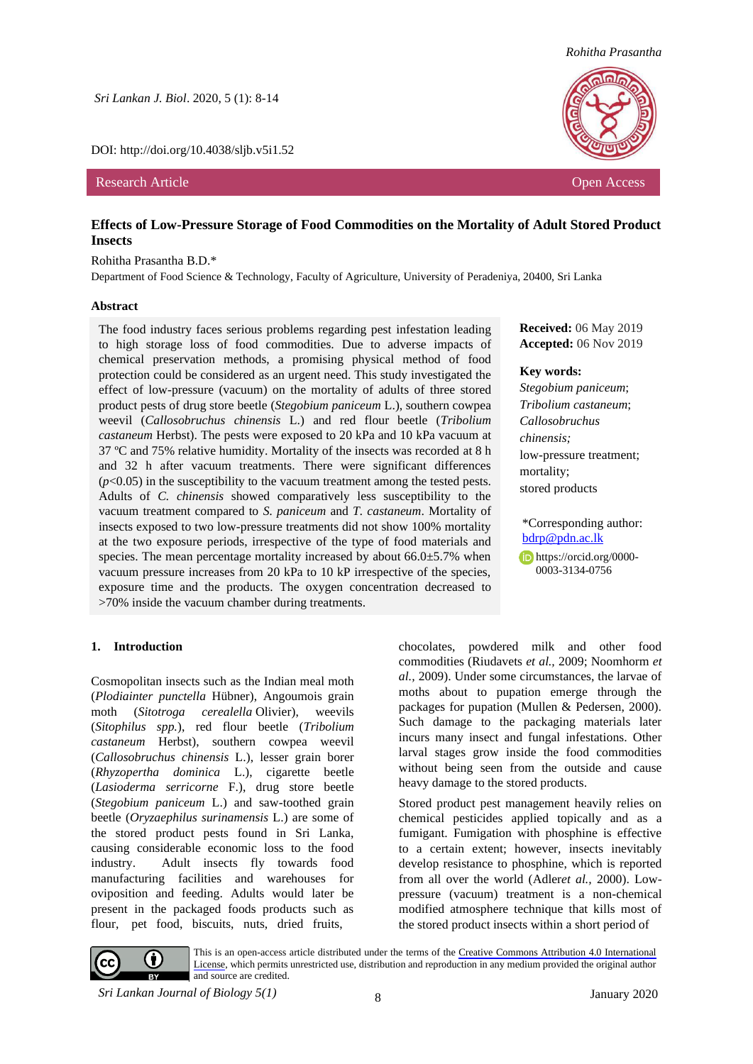*Sri Lankan J. Biol*. 2020, 5 (1): 8-14

DOI: http://doi.org/10.4038/sljb.v5i1.52

Research Article **Open Access Open Access Open Access Open Access Open Access Open Access Open Access** 



*Rohitha Prasantha*

## **Effects of Low-Pressure Storage of Food Commodities on the Mortality of Adult Stored Product Insects**

#### Rohitha Prasantha B.D.\*

Department of Food Science & Technology, Faculty of Agriculture, University of Peradeniya, 20400, Sri Lanka

#### **Abstract**

The food industry faces serious problems regarding pest infestation leading to high storage loss of food commodities. Due to adverse impacts of chemical preservation methods, a promising physical method of food protection could be considered as an urgent need. This study investigated the effect of low-pressure (vacuum) on the mortality of adults of three stored product pests of drug store beetle (*Stegobium paniceum* L.), southern cowpea weevil (*Callosobruchus chinensis* L.) and red flour beetle (*Tribolium castaneum* Herbst). The pests were exposed to 20 kPa and 10 kPa vacuum at 37 ºC and 75% relative humidity. Mortality of the insects was recorded at 8 h and 32 h after vacuum treatments. There were significant differences  $(p<0.05)$  in the susceptibility to the vacuum treatment among the tested pests. Adults of *C. chinensis* showed comparatively less susceptibility to the vacuum treatment compared to *S. paniceum* and *T. castaneum*. Mortality of insects exposed to two low-pressure treatments did not show 100% mortality at the two exposure periods, irrespective of the type of food materials and species. The mean percentage mortality increased by about  $66.0 \pm 5.7\%$  when vacuum pressure increases from 20 kPa to 10 kP irrespective of the species, exposure time and the products. The oxygen concentration decreased to >70% inside the vacuum chamber during treatments.

#### **Received:** 06 May 2019 **Accepted:** 06 Nov 2019

#### **Key words:**

*Stegobium paniceum*; *Tribolium castaneum*; *Callosobruchus chinensis;* low-pressure treatment; mortality; stored products

\*Corresponding author: [bdrp@pdn.ac.lk](mailto:bdrp@pdn.ac.lk)

[https://orcid.org/0000-](https://orcid.org/0000-0003-3134-0756) [0003-3134-0756](https://orcid.org/0000-0003-3134-0756)

## **1. Introduction**

Cosmopolitan insects such as the Indian meal moth (*Plodiainter punctella* Hübner), Angoumois grain moth (*Sitotroga cerealella* Olivier), weevils (*Sitophilus spp.*), red flour beetle (*Tribolium castaneum* Herbst), southern cowpea weevil (*Callosobruchus chinensis* L.), lesser grain borer (*Rhyzopertha dominica* L.), cigarette beetle (*Lasioderma serricorne* F.), drug store beetle (*Stegobium paniceum* L.) and saw-toothed grain beetle (*Oryzaephilus surinamensis* L.) are some of the stored product pests found in Sri Lanka, causing considerable economic loss to the food industry. Adult insects fly towards food manufacturing facilities and warehouses for oviposition and feeding. Adults would later be present in the packaged foods products such as flour, pet food, biscuits, nuts, dried fruits,

chocolates, powdered milk and other food commodities (Riudavets *et al.,* 2009; Noomhorm *et al.,* 2009). Under some circumstances, the larvae of moths about to pupation emerge through the packages for pupation (Mullen & Pedersen, 2000). Such damage to the packaging materials later incurs many insect and fungal infestations. Other larval stages grow inside the food commodities without being seen from the outside and cause heavy damage to the stored products.

Stored product pest management heavily relies on chemical pesticides applied topically and as a fumigant. Fumigation with phosphine is effective to a certain extent; however, insects inevitably develop resistance to phosphine, which is reported from all over the world (Adler*et al.,* 2000). Lowpressure (vacuum) treatment is a non-chemical modified atmosphere technique that kills most of the stored product insects within a short period of



This is an open-access article distributed under the terms of the [Creative Commons Attribution 4.0 International](https://creativecommons.org/licenses/by/4.0/)  [License](https://creativecommons.org/licenses/by/4.0/), which permits unrestricted use, distribution and reproduction in any medium provided the original author and source are credited.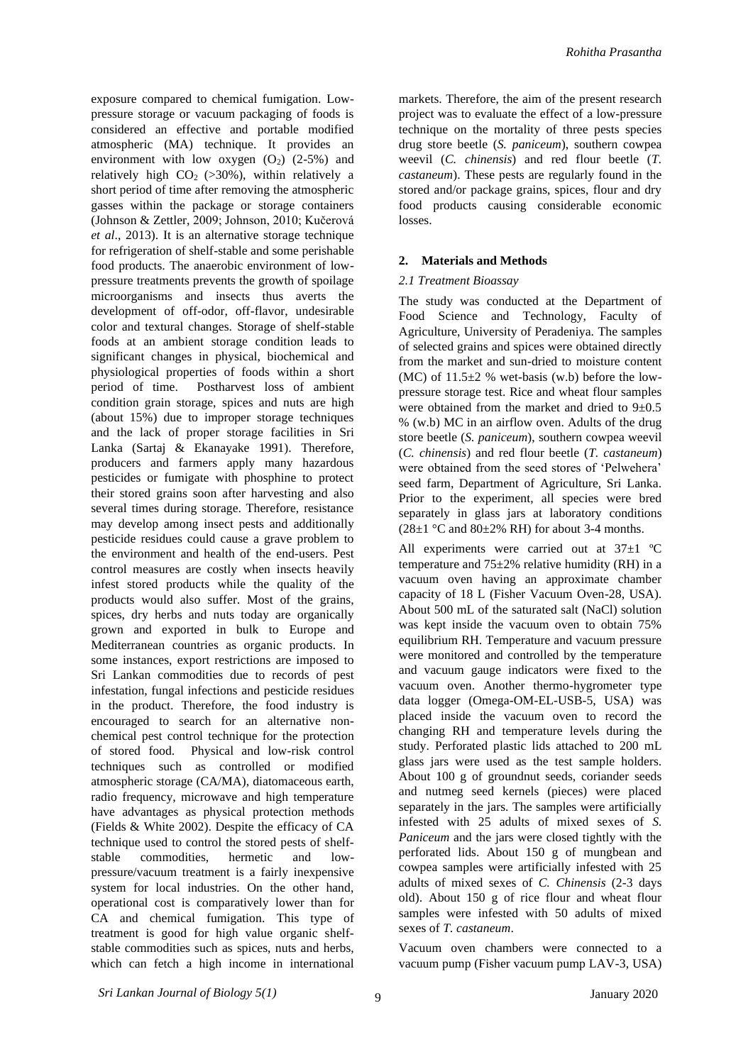exposure compared to chemical fumigation. Lowpressure storage or vacuum packaging of foods is considered an effective and portable modified atmospheric (MA) technique. It provides an environment with low oxygen  $(O_2)$   $(2-5%)$  and relatively high  $CO<sub>2</sub>$  (>30%), within relatively a short period of time after removing the atmospheric gasses within the package or storage containers (Johnson & Zettler, 2009; Johnson, 2010; Kučerová *et al*., 2013). It is an alternative storage technique for refrigeration of shelf-stable and some perishable food products. The anaerobic environment of lowpressure treatments prevents the growth of spoilage microorganisms and insects thus averts the development of off-odor, off-flavor, undesirable color and textural changes. Storage of shelf-stable foods at an ambient storage condition leads to significant changes in physical, biochemical and physiological properties of foods within a short period of time. Postharvest loss of ambient condition grain storage, spices and nuts are high (about 15%) due to improper storage techniques and the lack of proper storage facilities in Sri Lanka (Sartaj & Ekanayake 1991). Therefore, producers and farmers apply many hazardous pesticides or fumigate with phosphine to protect their stored grains soon after harvesting and also several times during storage. Therefore, resistance may develop among insect pests and additionally pesticide residues could cause a grave problem to the environment and health of the end-users. Pest control measures are costly when insects heavily infest stored products while the quality of the products would also suffer. Most of the grains, spices, dry herbs and nuts today are organically grown and exported in bulk to Europe and Mediterranean countries as organic products. In some instances, export restrictions are imposed to Sri Lankan commodities due to records of pest infestation, fungal infections and pesticide residues in the product. Therefore, the food industry is encouraged to search for an alternative nonchemical pest control technique for the protection of stored food. Physical and low-risk control techniques such as controlled or modified atmospheric storage (CA/MA), diatomaceous earth, radio frequency, microwave and high temperature have advantages as physical protection methods (Fields & White 2002). Despite the efficacy of CA technique used to control the stored pests of shelfstable commodities, hermetic and lowpressure/vacuum treatment is a fairly inexpensive system for local industries. On the other hand, operational cost is comparatively lower than for CA and chemical fumigation. This type of treatment is good for high value organic shelfstable commodities such as spices, nuts and herbs, which can fetch a high income in international

markets. Therefore, the aim of the present research project was to evaluate the effect of a low-pressure technique on the mortality of three pests species drug store beetle (*S. paniceum*), southern cowpea weevil (*C. chinensis*) and red flour beetle (*T. castaneum*). These pests are regularly found in the stored and/or package grains, spices, flour and dry food products causing considerable economic losses.

## **2. Materials and Methods**

## *2.1 Treatment Bioassay*

The study was conducted at the Department of Food Science and Technology, Faculty of Agriculture, University of Peradeniya. The samples of selected grains and spices were obtained directly from the market and sun-dried to moisture content (MC) of  $11.5\pm2$  % wet-basis (w.b) before the lowpressure storage test. Rice and wheat flour samples were obtained from the market and dried to  $9\pm0.5$ % (w.b) MC in an airflow oven. Adults of the drug store beetle (*S. paniceum*), southern cowpea weevil (*C. chinensis*) and red flour beetle (*T. castaneum*) were obtained from the seed stores of 'Pelwehera' seed farm, Department of Agriculture, Sri Lanka. Prior to the experiment, all species were bred separately in glass jars at laboratory conditions  $(28\pm1~\degree C \text{ and } 80\pm2\% \text{ RH})$  for about 3-4 months.

All experiments were carried out at  $37\pm1$  °C temperature and  $75\pm2\%$  relative humidity (RH) in a vacuum oven having an approximate chamber capacity of 18 L (Fisher Vacuum Oven-28, USA). About 500 mL of the saturated salt (NaCl) solution was kept inside the vacuum oven to obtain 75% equilibrium RH. Temperature and vacuum pressure were monitored and controlled by the temperature and vacuum gauge indicators were fixed to the vacuum oven. Another thermo-hygrometer type data logger (Omega-OM-EL-USB-5, USA) was placed inside the vacuum oven to record the changing RH and temperature levels during the study. Perforated plastic lids attached to 200 mL glass jars were used as the test sample holders. About 100 g of groundnut seeds, coriander seeds and nutmeg seed kernels (pieces) were placed separately in the jars. The samples were artificially infested with 25 adults of mixed sexes of *S. Paniceum* and the jars were closed tightly with the perforated lids. About 150 g of mungbean and cowpea samples were artificially infested with 25 adults of mixed sexes of *C. Chinensis* (2-3 days old). About 150 g of rice flour and wheat flour samples were infested with 50 adults of mixed sexes of *T. castaneum*.

Vacuum oven chambers were connected to a vacuum pump (Fisher vacuum pump LAV-3, USA)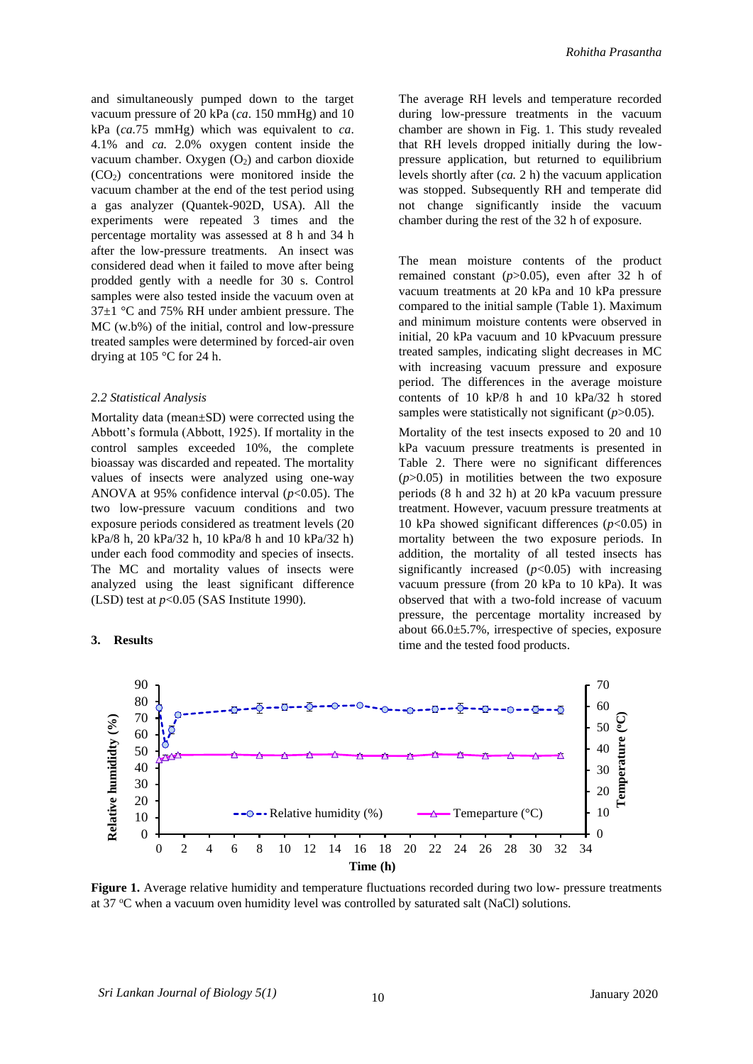*Rohitha Prasantha*

and simultaneously pumped down to the target vacuum pressure of 20 kPa (*ca*. 150 mmHg) and 10 kPa (*ca.*75 mmHg) which was equivalent to *ca*. 4.1% and *ca.* 2.0% oxygen content inside the vacuum chamber. Oxygen  $(O_2)$  and carbon dioxide  $(CO<sub>2</sub>)$  concentrations were monitored inside the vacuum chamber at the end of the test period using a gas analyzer (Quantek-902D, USA). All the experiments were repeated 3 times and the percentage mortality was assessed at 8 h and 34 h after the low-pressure treatments. An insect was considered dead when it failed to move after being prodded gently with a needle for 30 s. Control samples were also tested inside the vacuum oven at 37±1 °C and 75% RH under ambient pressure. The MC (w.b%) of the initial, control and low-pressure treated samples were determined by forced-air oven drying at 105 °C for 24 h.

#### *2.2 Statistical Analysis*

Mortality data (mean±SD) were corrected using the Abbott's formula (Abbott, 1925). If mortality in the control samples exceeded 10%, the complete bioassay was discarded and repeated. The mortality values of insects were analyzed using one-way ANOVA at 95% confidence interval (*p*<0.05). The two low-pressure vacuum conditions and two exposure periods considered as treatment levels (20 kPa/8 h, 20 kPa/32 h, 10 kPa/8 h and 10 kPa/32 h) under each food commodity and species of insects. The MC and mortality values of insects were analyzed using the least significant difference (LSD) test at *p*<0.05 (SAS Institute 1990).

# **3. Results**

The average RH levels and temperature recorded during low-pressure treatments in the vacuum chamber are shown in Fig. 1. This study revealed that RH levels dropped initially during the lowpressure application, but returned to equilibrium levels shortly after (*ca.* 2 h) the vacuum application was stopped. Subsequently RH and temperate did not change significantly inside the vacuum chamber during the rest of the 32 h of exposure.

The mean moisture contents of the product remained constant (*p*>0.05), even after 32 h of vacuum treatments at 20 kPa and 10 kPa pressure compared to the initial sample (Table 1). Maximum and minimum moisture contents were observed in initial, 20 kPa vacuum and 10 kPvacuum pressure treated samples, indicating slight decreases in MC with increasing vacuum pressure and exposure period. The differences in the average moisture contents of 10 kP/8 h and 10 kPa/32 h stored samples were statistically not significant ( $p$ >0.05).

Mortality of the test insects exposed to 20 and 10 kPa vacuum pressure treatments is presented in Table 2. There were no significant differences  $(p>0.05)$  in motilities between the two exposure periods (8 h and 32 h) at 20 kPa vacuum pressure treatment. However, vacuum pressure treatments at 10 kPa showed significant differences  $(p<0.05)$  in mortality between the two exposure periods. In addition, the mortality of all tested insects has significantly increased  $(p<0.05)$  with increasing vacuum pressure (from 20 kPa to 10 kPa). It was observed that with a two-fold increase of vacuum pressure, the percentage mortality increased by about 66.0±5.7%, irrespective of species, exposure time and the tested food products.



**Figure 1.** Average relative humidity and temperature fluctuations recorded during two low- pressure treatments at 37 °C when a vacuum oven humidity level was controlled by saturated salt (NaCl) solutions.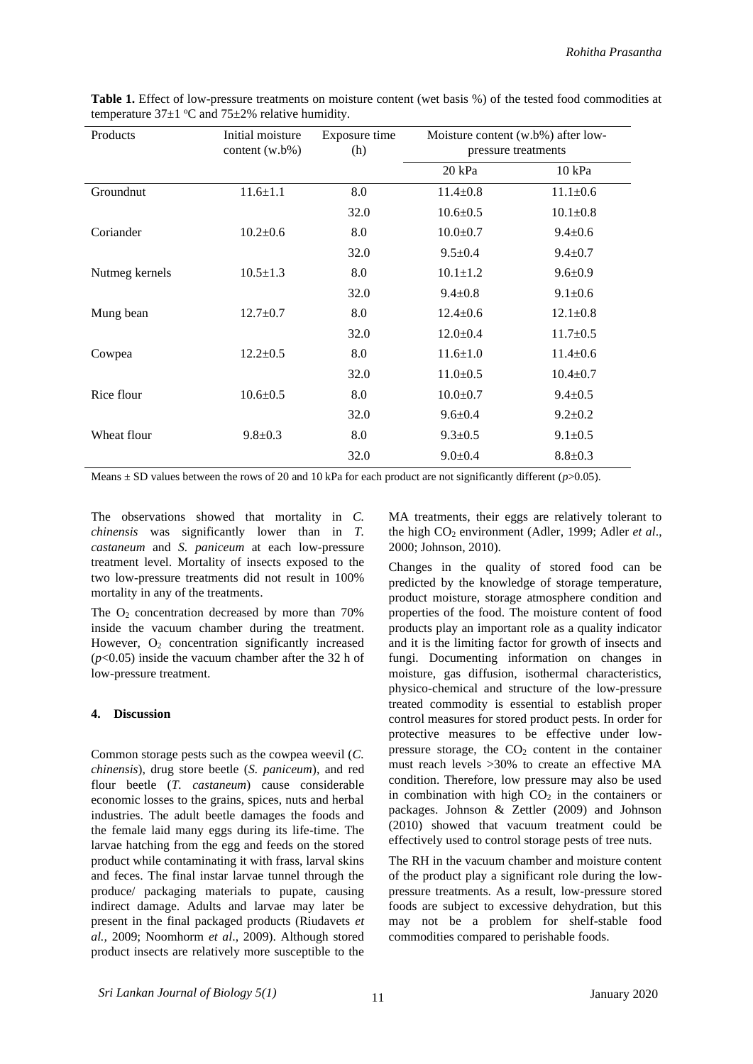| Products       | Initial moisture<br>content $(w.b\%)$ | Exposure time<br>(h) | Moisture content (w.b%) after low-<br>pressure treatments |                |
|----------------|---------------------------------------|----------------------|-----------------------------------------------------------|----------------|
|                |                                       |                      | $20$ kPa                                                  | $10$ kPa       |
| Groundnut      | $11.6 \pm 1.1$                        | 8.0                  | $11.4 \pm 0.8$                                            | $11.1 \pm 0.6$ |
|                |                                       | 32.0                 | $10.6 \pm 0.5$                                            | $10.1 \pm 0.8$ |
| Coriander      | $10.2 \pm 0.6$                        | 8.0                  | $10.0 \pm 0.7$                                            | $9.4 \pm 0.6$  |
|                |                                       | 32.0                 | $9.5 \pm 0.4$                                             | $9.4 \pm 0.7$  |
| Nutmeg kernels | $10.5 \pm 1.3$                        | 8.0                  | $10.1 \pm 1.2$                                            | $9.6 \pm 0.9$  |
|                |                                       | 32.0                 | $9.4 \pm 0.8$                                             | $9.1 \pm 0.6$  |
| Mung bean      | $12.7 \pm 0.7$                        | 8.0                  | $12.4 \pm 0.6$                                            | $12.1 \pm 0.8$ |
|                |                                       | 32.0                 | $12.0 \pm 0.4$                                            | $11.7 \pm 0.5$ |
| Cowpea         | $12.2 \pm 0.5$                        | 8.0                  | $11.6 \pm 1.0$                                            | $11.4 \pm 0.6$ |
|                |                                       | 32.0                 | $11.0 \pm 0.5$                                            | $10.4 \pm 0.7$ |
| Rice flour     | $10.6 \pm 0.5$                        | 8.0                  | $10.0 \pm 0.7$                                            | $9.4 \pm 0.5$  |
|                |                                       | 32.0                 | $9.6 \pm 0.4$                                             | $9.2 \pm 0.2$  |
| Wheat flour    | $9.8 \pm 0.3$                         | 8.0                  | $9.3 \pm 0.5$                                             | $9.1 \pm 0.5$  |
|                |                                       | 32.0                 | $9.0 \pm 0.4$                                             | $8.8 \pm 0.3$  |

**Table 1.** Effect of low-pressure treatments on moisture content (wet basis %) of the tested food commodities at temperature  $37\pm1$  °C and  $75\pm2\%$  relative humidity.

Means  $\pm$  SD values between the rows of 20 and 10 kPa for each product are not significantly different ( $p$ >0.05).

The observations showed that mortality in *C. chinensis* was significantly lower than in *T. castaneum* and *S. paniceum* at each low-pressure treatment level. Mortality of insects exposed to the two low-pressure treatments did not result in 100% mortality in any of the treatments.

The  $O_2$  concentration decreased by more than 70% inside the vacuum chamber during the treatment. However,  $O_2$  concentration significantly increased (*p*<0.05) inside the vacuum chamber after the 32 h of low-pressure treatment.

#### **4. Discussion**

Common storage pests such as the cowpea weevil (*C. chinensis*), drug store beetle (*S. paniceum*), and red flour beetle (*T. castaneum*) cause considerable economic losses to the grains, spices, nuts and herbal industries. The adult beetle damages the foods and the female laid many eggs during its life-time. The larvae hatching from the egg and feeds on the stored product while contaminating it with frass, larval skins and feces. The final instar larvae tunnel through the produce/ packaging materials to pupate, causing indirect damage. Adults and larvae may later be present in the final packaged products (Riudavets *et al.,* 2009; Noomhorm *et al*., 2009). Although stored product insects are relatively more susceptible to the

MA treatments, their eggs are relatively tolerant to the high CO<sup>2</sup> environment (Adler, 1999; Adler *et al*., 2000; Johnson, 2010).

Changes in the quality of stored food can be predicted by the knowledge of storage temperature, product moisture, storage atmosphere condition and properties of the food. The moisture content of food products play an important role as a quality indicator and it is the limiting factor for growth of insects and fungi. Documenting information on changes in moisture, gas diffusion, isothermal characteristics, physico-chemical and structure of the low-pressure treated commodity is essential to establish proper control measures for stored product pests. In order for protective measures to be effective under lowpressure storage, the  $CO<sub>2</sub>$  content in the container must reach levels >30% to create an effective MA condition. Therefore, low pressure may also be used in combination with high  $CO<sub>2</sub>$  in the containers or packages. Johnson & Zettler (2009) and Johnson (2010) showed that vacuum treatment could be effectively used to control storage pests of tree nuts.

The RH in the vacuum chamber and moisture content of the product play a significant role during the lowpressure treatments. As a result, low-pressure stored foods are subject to excessive dehydration, but this may not be a problem for shelf-stable food commodities compared to perishable foods.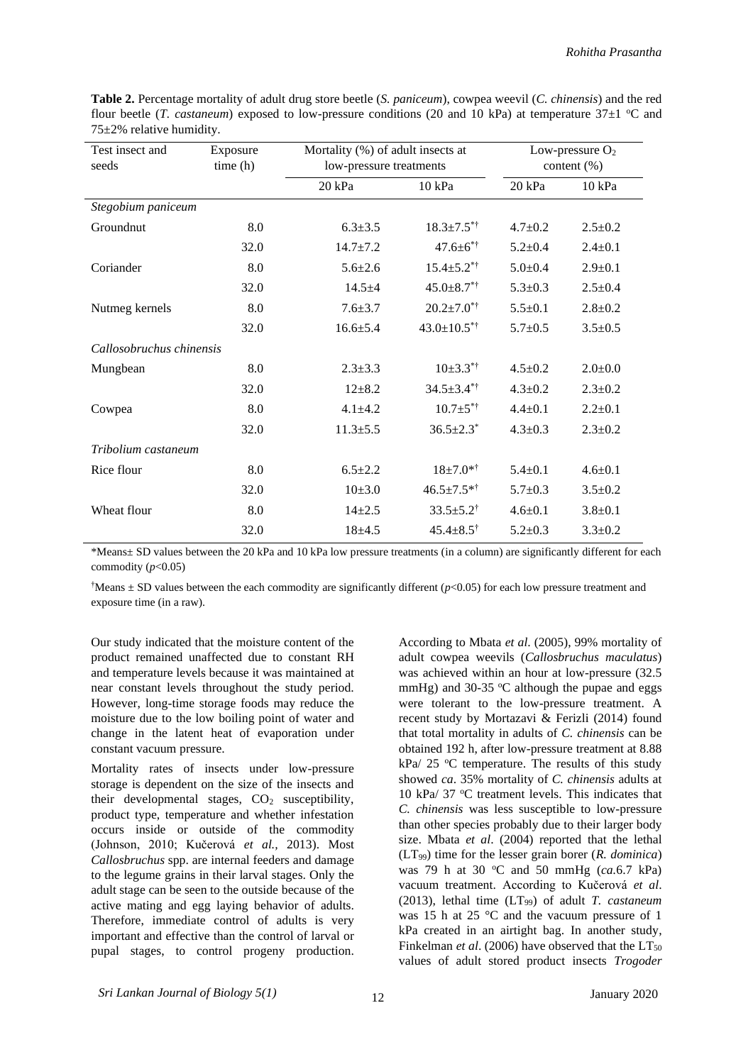| Test insect and<br>seeds | Exposure<br>time(h) | Mortality (%) of adult insects at<br>low-pressure treatments |                               | Low-pressure $O_2$<br>content $(\%)$ |               |
|--------------------------|---------------------|--------------------------------------------------------------|-------------------------------|--------------------------------------|---------------|
|                          |                     | 20 kPa                                                       | 10 kPa                        | 20 kPa                               | 10 kPa        |
| Stegobium paniceum       |                     |                                                              |                               |                                      |               |
| Groundnut                | 8.0                 | $6.3 \pm 3.5$                                                | $18.3 \pm 7.5$ <sup>**</sup>  | $4.7 \pm 0.2$                        | $2.5 \pm 0.2$ |
|                          | 32.0                | $14.7 \pm 7.2$                                               | $47.6 \pm 6$ *†               | $5.2 \pm 0.4$                        | $2.4 \pm 0.1$ |
| Coriander                | 8.0                 | $5.6 \pm 2.6$                                                | $15.4 \pm 5.2$ <sup>*†</sup>  | $5.0 + 0.4$                          | $2.9 + 0.1$   |
|                          | 32.0                | $14.5 + 4$                                                   | $45.0 \pm 8.7$ <sup>*†</sup>  | $5.3 \pm 0.3$                        | $2.5 \pm 0.4$ |
| Nutmeg kernels           | 8.0                 | $7.6 \pm 3.7$                                                | $20.2 \pm 7.0$ <sup>*†</sup>  | $5.5 \pm 0.1$                        | $2.8 \pm 0.2$ |
|                          | 32.0                | $16.6 \pm 5.4$                                               | $43.0 \pm 10.5$ <sup>*†</sup> | $5.7 \pm 0.5$                        | $3.5 \pm 0.5$ |
| Callosobruchus chinensis |                     |                                                              |                               |                                      |               |
| Mungbean                 | 8.0                 | $2.3 \pm 3.3$                                                | $10\pm3.3$ <sup>*†</sup>      | $4.5 \pm 0.2$                        | $2.0 \pm 0.0$ |
|                          | 32.0                | $12 + 8.2$                                                   | $34.5 \pm 3.4$ <sup>**</sup>  | $4.3 \pm 0.2$                        | $2.3 \pm 0.2$ |
| Cowpea                   | 8.0                 | $4.1 + 4.2$                                                  | $10.7 \pm 5$ <sup>*†</sup>    | $4.4 \pm 0.1$                        | $2.2 \pm 0.1$ |
|                          | 32.0                | $11.3 \pm 5.5$                                               | $36.5 \pm 2.3^*$              | $4.3 \pm 0.3$                        | $2.3 \pm 0.2$ |
| Tribolium castaneum      |                     |                                                              |                               |                                      |               |
| Rice flour               | 8.0                 | $6.5 \pm 2.2$                                                | $18 + 7.0**$                  | $5.4 \pm 0.1$                        | $4.6 \pm 0.1$ |
|                          | 32.0                | $10\pm3.0$                                                   | $46.5 \pm 7.5$ *†             | $5.7 \pm 0.3$                        | $3.5 \pm 0.2$ |
| Wheat flour              | 8.0                 | $14 + 2.5$                                                   | $33.5 \pm 5.2^{\dagger}$      | $4.6 \pm 0.1$                        | $3.8 \pm 0.1$ |
|                          | 32.0                | $18+4.5$                                                     | $45.4 \pm 8.5^{\dagger}$      | $5.2 \pm 0.3$                        | $3.3 \pm 0.2$ |

**Table 2.** Percentage mortality of adult drug store beetle (*S. paniceum*), cowpea weevil (*C. chinensis*) and the red flour beetle (*T. castaneum*) exposed to low-pressure conditions (20 and 10 kPa) at temperature 37 $\pm$ 1 °C and 75±2% relative humidity.

\*Means± SD values between the 20 kPa and 10 kPa low pressure treatments (in a column) are significantly different for each commodity  $(p<0.05)$ 

<sup>†</sup>Means  $\pm$  SD values between the each commodity are significantly different ( $p$ <0.05) for each low pressure treatment and exposure time (in a raw).

Our study indicated that the moisture content of the product remained unaffected due to constant RH and temperature levels because it was maintained at near constant levels throughout the study period. However, long-time storage foods may reduce the moisture due to the low boiling point of water and change in the latent heat of evaporation under constant vacuum pressure.

Mortality rates of insects under low-pressure storage is dependent on the size of the insects and their developmental stages,  $CO<sub>2</sub>$  susceptibility, product type, temperature and whether infestation occurs inside or outside of the commodity (Johnson, 2010; Kučerová *et al.,* 2013). Most *Callosbruchus* spp. are internal feeders and damage to the legume grains in their larval stages. Only the adult stage can be seen to the outside because of the active mating and egg laying behavior of adults. Therefore, immediate control of adults is very important and effective than the control of larval or pupal stages, to control progeny production.

According to Mbata *et al*. (2005), 99% mortality of adult cowpea weevils (*Callosbruchus maculatus*) was achieved within an hour at low-pressure (32.5 mmHg) and 30-35  $\degree$ C although the pupae and eggs were tolerant to the low-pressure treatment. A recent study by Mortazavi & Ferizli (2014) found that total mortality in adults of *C. chinensis* can be obtained 192 h, after low-pressure treatment at 8.88 kPa/  $25$  °C temperature. The results of this study showed *ca*. 35% mortality of *C. chinensis* adults at 10 kPa/ 37 °C treatment levels. This indicates that *C. chinensis* was less susceptible to low-pressure than other species probably due to their larger body size. Mbata *et al*. (2004) reported that the lethal (LT99) time for the lesser grain borer (*R. dominica*) was 79 h at 30 °C and 50 mmHg (*ca.*6.7 kPa) vacuum treatment. According to Kučerová *et al*. (2013), lethal time (LT99) of adult *T. castaneum* was 15 h at 25 °C and the vacuum pressure of 1 kPa created in an airtight bag. In another study, Finkelman *et al.* (2006) have observed that the  $LT_{50}$ values of adult stored product insects *Trogoder*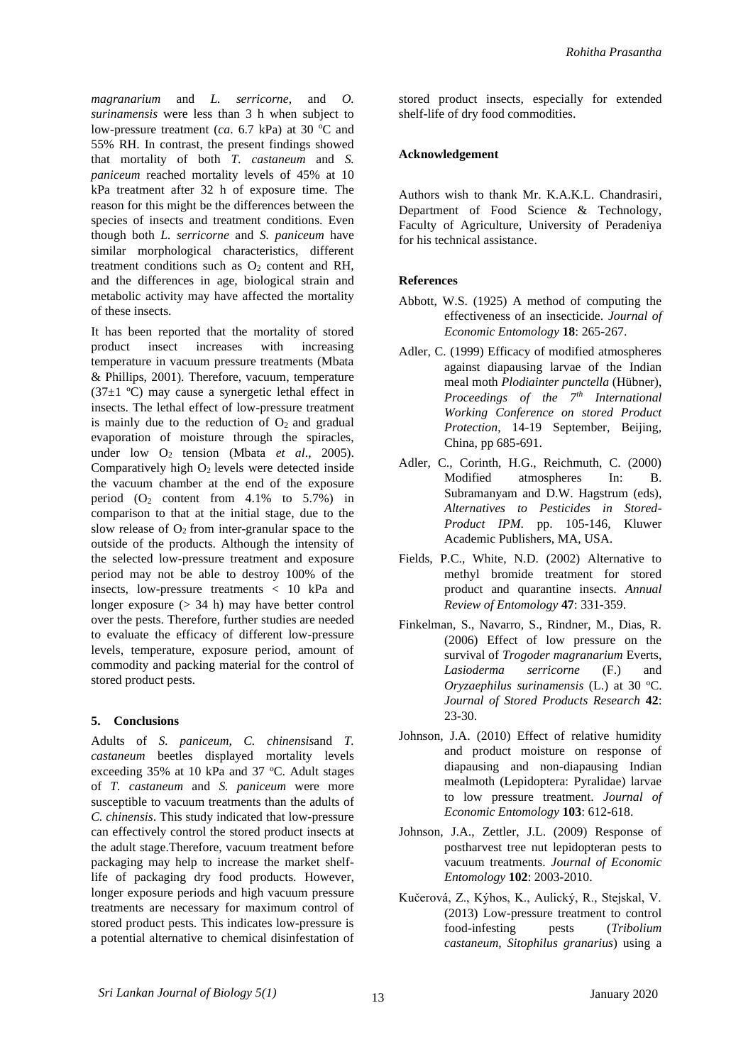*magranarium* and *L. serricorne*, and *O. surinamensis* were less than 3 h when subject to low-pressure treatment (*ca*. 6.7 kPa) at 30 °C and 55% RH. In contrast, the present findings showed that mortality of both *T. castaneum* and *S. paniceum* reached mortality levels of 45% at 10 kPa treatment after 32 h of exposure time. The reason for this might be the differences between the species of insects and treatment conditions. Even though both *L. serricorne* and *S. paniceum* have similar morphological characteristics, different treatment conditions such as  $O<sub>2</sub>$  content and RH, and the differences in age, biological strain and metabolic activity may have affected the mortality of these insects.

It has been reported that the mortality of stored product insect increases with increasing temperature in vacuum pressure treatments (Mbata & Phillips, 2001). Therefore, vacuum, temperature  $(37\pm1$  °C) may cause a synergetic lethal effect in insects. The lethal effect of low-pressure treatment is mainly due to the reduction of  $O<sub>2</sub>$  and gradual evaporation of moisture through the spiracles, under low  $O_2$  tension (Mbata *et al.*, 2005). Comparatively high  $O<sub>2</sub>$  levels were detected inside the vacuum chamber at the end of the exposure period  $(O_2 \text{ content from } 4.1\% \text{ to } 5.7\%)$  in comparison to that at the initial stage, due to the slow release of  $O<sub>2</sub>$  from inter-granular space to the outside of the products. Although the intensity of the selected low-pressure treatment and exposure period may not be able to destroy 100% of the insects, low-pressure treatments < 10 kPa and longer exposure  $(> 34 h)$  may have better control over the pests. Therefore, further studies are needed to evaluate the efficacy of different low-pressure levels, temperature, exposure period, amount of commodity and packing material for the control of stored product pests.

## **5. Conclusions**

Adults of *S. paniceum*, *C. chinensis*and *T. castaneum* beetles displayed mortality levels exceeding 35% at 10 kPa and 37 °C. Adult stages of *T. castaneum* and *S. paniceum* were more susceptible to vacuum treatments than the adults of *C. chinensis*. This study indicated that low-pressure can effectively control the stored product insects at the adult stage.Therefore, vacuum treatment before packaging may help to increase the market shelflife of packaging dry food products. However, longer exposure periods and high vacuum pressure treatments are necessary for maximum control of stored product pests. This indicates low-pressure is a potential alternative to chemical disinfestation of

stored product insects, especially for extended shelf-life of dry food commodities.

#### **Acknowledgement**

Authors wish to thank Mr. K.A.K.L. Chandrasiri, Department of Food Science & Technology, Faculty of Agriculture, University of Peradeniya for his technical assistance.

## **References**

- Abbott, W.S. (1925) A method of computing the effectiveness of an insecticide. *Journal of Economic Entomology* **18**: 265-267.
- Adler, C. (1999) Efficacy of modified atmospheres against diapausing larvae of the Indian meal moth *Plodiainter punctella* (Hübner), *Proceedings of the 7th International Working Conference on stored Product Protection*, 14-19 September, Beijing, China, pp 685-691.
- Adler, C., Corinth, H.G., Reichmuth, C. (2000) Modified atmospheres In: B. Subramanyam and D.W. Hagstrum (eds), *Alternatives to Pesticides in Stored-Product IPM*. pp. 105-146, Kluwer Academic Publishers, MA, USA.
- Fields, P.C., White, N.D. (2002) Alternative to methyl bromide treatment for stored product and quarantine insects. *Annual Review of Entomology* **47**: 331-359.
- Finkelman, S., Navarro, S., Rindner, M., Dias, R. (2006) Effect of low pressure on the survival of *Trogoder magranarium* Everts, *Lasioderma serricorne* (F.) and *Oryzaephilus surinamensis* (L.) at 30 °C. *Journal of Stored Products Research* **42**: 23-30.
- Johnson, J.A. (2010) Effect of relative humidity and product moisture on response of diapausing and non-diapausing Indian mealmoth (Lepidoptera: Pyralidae) larvae to low pressure treatment. *Journal of Economic Entomology* **103**: 612-618.
- Johnson, J.A., Zettler, J.L. (2009) Response of postharvest tree nut lepidopteran pests to vacuum treatments. *Journal of Economic Entomology* **102**: 2003-2010.
- Kučerová, Z., Kýhos, K., Aulický, R., Stejskal, V. (2013) Low-pressure treatment to control food-infesting pests (*Tribolium castaneum, Sitophilus granarius*) using a